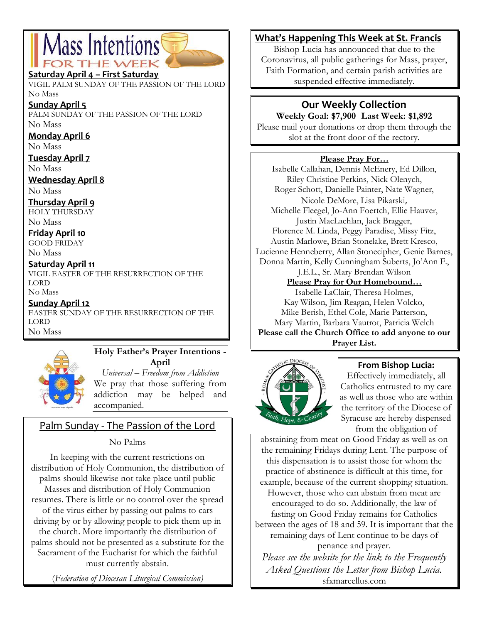# Mass Intentions **DR THE WEE**

#### **Saturday April 4 – First Saturday**

VIGIL PALM SUNDAY OF THE PASSION OF THE LORD No Mass

**Sunday April 5**

PALM SUNDAY OF THE PASSION OF THE LORD No Mass

#### **Monday April 6**

No Mass

**Tuesday April 7**

No Mass

**Wednesday April 8**

No Mass

**Thursday April 9**

HOLY THURSDAY No Mass

**Friday April 10**

GOOD FRIDAY No Mass

### **Saturday April 11**

VIGIL EASTER OF THE RESURRECTION OF THE LORD

No Mass **Sunday April 12**

EASTER SUNDAY OF THE RESURRECTION OF THE LORD No Mass



#### **Holy Father's Prayer Intentions - April**

*Universal – Freedom from Addiction* We pray that those suffering from addiction may be helped and accompanied.

## Palm Sunday - The Passion of the Lord

No Palms

In keeping with the current restrictions on distribution of Holy Communion, the distribution of palms should likewise not take place until public Masses and distribution of Holy Communion resumes. There is little or no control over the spread of the virus either by passing out palms to cars driving by or by allowing people to pick them up in the church. More importantly the distribution of palms should not be presented as a substitute for the Sacrament of the Eucharist for which the faithful must currently abstain.

(*Federation of Diocesan Liturgical Commission)*

## **What's Happening This Week at St. Francis**

Bishop Lucia has announced that due to the Coronavirus, all public gatherings for Mass, prayer, Faith Formation, and certain parish activities are suspended effective immediately.

## **Our Weekly Collection**

**Weekly Goal: \$7,900 Last Week: \$1,892** Please mail your donations or drop them through the slot at the front door of the rectory.

#### **Please Pray For…**

Isabelle Callahan, Dennis McEnery, Ed Dillon, Riley Christine Perkins, Nick Olenych, Roger Schott, Danielle Painter, Nate Wagner, Nicole DeMore, Lisa Pikarski, Michelle Fleegel, Jo-Ann Foertch, Ellie Hauver, Justin MacLachlan, Jack Bragger, Florence M. Linda, Peggy Paradise, Missy Fitz, Austin Marlowe, Brian Stonelake, Brett Kresco, Lucienne Henneberry, Allan Stonecipher, Genie Barnes, Donna Martin, Kelly Cunningham Suberts, Jo'Ann F., J.E.L., Sr. Mary Brendan Wilson

### **Please Pray for Our Homebound…**

Isabelle LaClair, Theresa Holmes, Kay Wilson, Jim Reagan, Helen Volcko, Mike Berish, Ethel Cole, Marie Patterson, Mary Martin, Barbara Vautrot, Patricia Welch **Please call the Church Office to add anyone to our Prayer List.**



## **From Bishop Lucia:**

Effectively immediately, all Catholics entrusted to my care as well as those who are within the territory of the Diocese of Syracuse are hereby dispensed from the obligation of

abstaining from meat on Good Friday as well as on the remaining Fridays during Lent. The purpose of this dispensation is to assist those for whom the practice of abstinence is difficult at this time, for

example, because of the current shopping situation. However, those who can abstain from meat are encouraged to do so. Additionally, the law of fasting on Good Friday remains for Catholics between the ages of 18 and 59. It is important that the remaining days of Lent continue to be days of

penance and prayer.

*Please see the website for the link to the Frequently Asked Questions the Letter from Bishop Lucia.*  sfxmarcellus.com